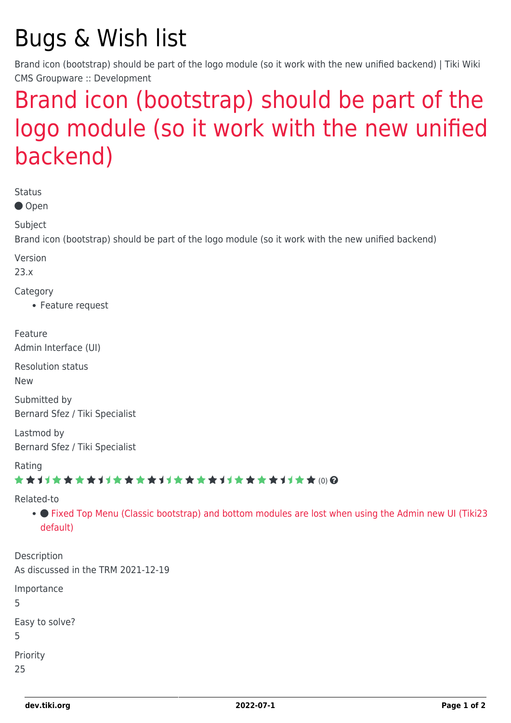# Bugs & Wish list

Brand icon (bootstrap) should be part of the logo module (so it work with the new unified backend) | Tiki Wiki CMS Groupware :: Development

## [Brand icon \(bootstrap\) should be part of the](https://dev.tiki.org/item7992-Brand-icon-bootstrap-should-be-part-of-the-logo-module-so-it-work-with-the-new-unified-backend) [logo module \(so it work with the new unified](https://dev.tiki.org/item7992-Brand-icon-bootstrap-should-be-part-of-the-logo-module-so-it-work-with-the-new-unified-backend) [backend\)](https://dev.tiki.org/item7992-Brand-icon-bootstrap-should-be-part-of-the-logo-module-so-it-work-with-the-new-unified-backend)

Status

● Open

Subject

Brand icon (bootstrap) should be part of the logo module (so it work with the new unified backend)

Version

23.x

Category

Feature request

Feature

Admin Interface (UI)

Resolution status

New

Submitted by Bernard Sfez / Tiki Specialist

Lastmod by Bernard Sfez / Tiki Specialist

Rating

#### \*\*\*\*\*\*\*\*\*\*\*\*\*\*\*\*\*\*\*\*\*\*\*\*\*\*\*\*\*\*

#### Related-to

• • [Fixed Top Menu \(Classic bootstrap\) and bottom modules are lost when using the Admin new UI \(Tiki23](https://dev.tiki.org/item7814-Fixed-Top-Menu-Classic-bootstrap-and-bottom-modules-are-lost-when-using-the-Admin-new-UI-Tiki23-default) [default\)](https://dev.tiki.org/item7814-Fixed-Top-Menu-Classic-bootstrap-and-bottom-modules-are-lost-when-using-the-Admin-new-UI-Tiki23-default)

Description As discussed in the TRM 2021-12-19 Importance 5 Easy to solve? 5 Priority